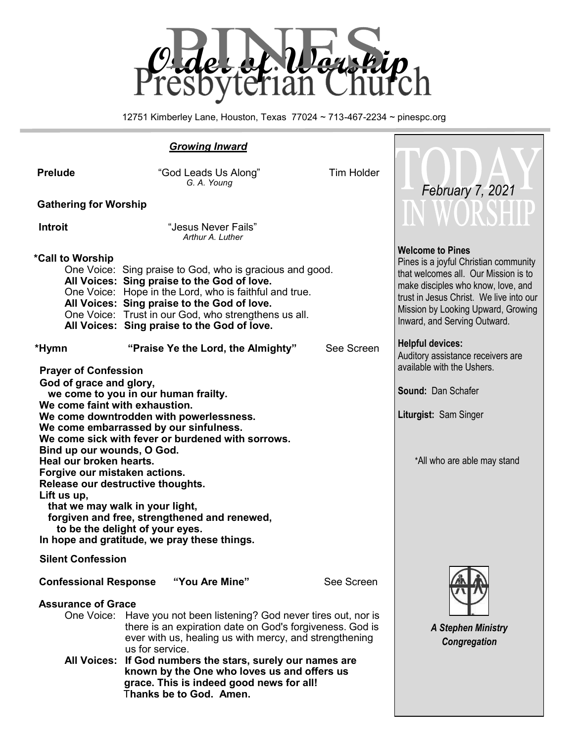

12751 Kimberley Lane, Houston, Texas 77024 ~ 713-467-2234 ~ pinespc.org

#### *Growing Inward* **Prelude** *"God Leads Us Along"* Tim Holder  *G. A. Young* **Gathering for Worship Introit Contract Property 1988 Introit Contract Property Contract Property Contract Property Contract Property Contract Property Contract Property Contract Property Contract Property Contract Prop** *Arthur A. Luther*  **\*Call to Worship**  One Voice: Sing praise to God, who is gracious and good. **All Voices: Sing praise to the God of love.** One Voice: Hope in the Lord, who is faithful and true. **All Voices: Sing praise to the God of love.** One Voice: Trust in our God, who strengthens us all. **All Voices: Sing praise to the God of love. \*Hymn "Praise Ye the Lord, the Almighty"** See Screen **Prayer of Confession God of grace and glory, we come to you in our human frailty. We come faint with exhaustion. We come downtrodden with powerlessness. We come embarrassed by our sinfulness. We come sick with fever or burdened with sorrows. Bind up our wounds, O God. Heal our broken hearts. Forgive our mistaken actions. Release our destructive thoughts. Lift us up, that we may walk in your light, forgiven and free, strengthened and renewed, to be the delight of your eyes. In hope and gratitude, we pray these things. Silent Confession Confessional Response "You Are Mine"** See Screen **Assurance of Grace** One Voice: Have you not been listening? God never tires out, nor is there is an expiration date on God's forgiveness. God is ever with us, healing us with mercy, and strengthening us for service. **All Voices: If God numbers the stars, surely our names are known by the One who loves us and offers us grace. This is indeed good news for all!** T**hanks be to God. Amen. Welcome to Pines** Pines is a joyful Christian community that welcomes all. Our Mission is to make disciples who know, love, and trust in Jesus Christ. We live into our Mission by Looking Upward, Growing Inward, and Serving Outward. **Helpful devices:** Auditory assistance receivers are available with the Ushers. **Sound:** Dan Schafer **Liturgist:** Sam Singer \*All who are able may stand *A Stephen Ministry Congregation February 7, 2021*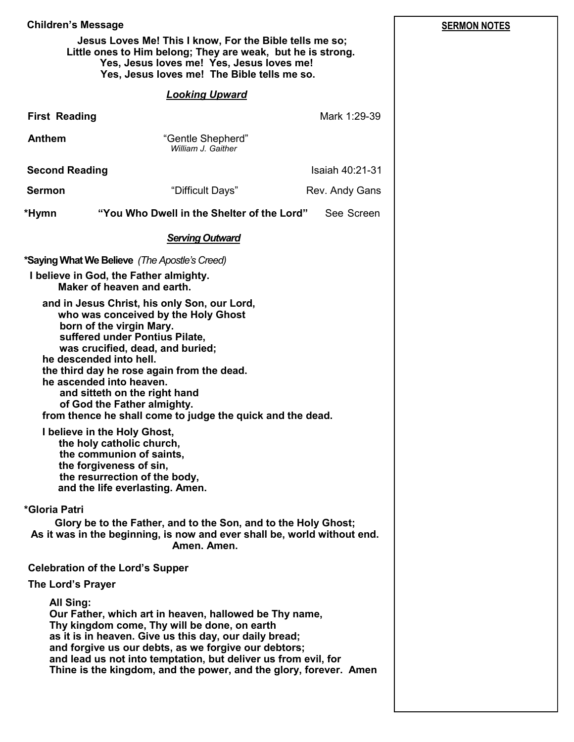| <b>Children's Message</b>                                                                                                                                                                           | <b>SERMON NOTES</b>                                                                                                                                                                                                                                                                                                                                                                                       |                 |  |  |
|-----------------------------------------------------------------------------------------------------------------------------------------------------------------------------------------------------|-----------------------------------------------------------------------------------------------------------------------------------------------------------------------------------------------------------------------------------------------------------------------------------------------------------------------------------------------------------------------------------------------------------|-----------------|--|--|
|                                                                                                                                                                                                     | Jesus Loves Me! This I know, For the Bible tells me so;<br>Little ones to Him belong; They are weak, but he is strong.<br>Yes, Jesus loves me! Yes, Jesus loves me!<br>Yes, Jesus loves me! The Bible tells me so.                                                                                                                                                                                        |                 |  |  |
|                                                                                                                                                                                                     | <b>Looking Upward</b>                                                                                                                                                                                                                                                                                                                                                                                     |                 |  |  |
| <b>First Reading</b>                                                                                                                                                                                |                                                                                                                                                                                                                                                                                                                                                                                                           | Mark 1:29-39    |  |  |
| <b>Anthem</b>                                                                                                                                                                                       | "Gentle Shepherd"<br>William J. Gaither                                                                                                                                                                                                                                                                                                                                                                   |                 |  |  |
| <b>Second Reading</b>                                                                                                                                                                               |                                                                                                                                                                                                                                                                                                                                                                                                           | Isaiah 40:21-31 |  |  |
| <b>Sermon</b>                                                                                                                                                                                       | "Difficult Days"                                                                                                                                                                                                                                                                                                                                                                                          | Rev. Andy Gans  |  |  |
| "You Who Dwell in the Shelter of the Lord"<br>*Hymn<br>See Screen                                                                                                                                   |                                                                                                                                                                                                                                                                                                                                                                                                           |                 |  |  |
|                                                                                                                                                                                                     | <b>Serving Outward</b>                                                                                                                                                                                                                                                                                                                                                                                    |                 |  |  |
| *Saying What We Believe (The Apostle's Creed)<br>I believe in God, the Father almighty.<br>Maker of heaven and earth.                                                                               |                                                                                                                                                                                                                                                                                                                                                                                                           |                 |  |  |
| born of the virgin Mary.<br>he descended into hell.<br>he ascended into heaven.<br>I believe in the Holy Ghost,<br>the holy catholic church,<br>the communion of saints,<br>the forgiveness of sin, | and in Jesus Christ, his only Son, our Lord,<br>who was conceived by the Holy Ghost<br>suffered under Pontius Pilate,<br>was crucified, dead, and buried;<br>the third day he rose again from the dead.<br>and sitteth on the right hand<br>of God the Father almighty.<br>from thence he shall come to judge the quick and the dead.<br>the resurrection of the body,<br>and the life everlasting. Amen. |                 |  |  |
| *Gloria Patri                                                                                                                                                                                       | Glory be to the Father, and to the Son, and to the Holy Ghost;<br>As it was in the beginning, is now and ever shall be, world without end.<br>Amen. Amen.                                                                                                                                                                                                                                                 |                 |  |  |
| <b>Celebration of the Lord's Supper</b><br>The Lord's Prayer                                                                                                                                        |                                                                                                                                                                                                                                                                                                                                                                                                           |                 |  |  |
| <b>All Sing:</b>                                                                                                                                                                                    | Our Father, which art in heaven, hallowed be Thy name,<br>Thy kingdom come, Thy will be done, on earth<br>as it is in heaven. Give us this day, our daily bread;<br>and forgive us our debts, as we forgive our debtors;<br>and lead us not into temptation, but deliver us from evil, for<br>Thine is the kingdom, and the power, and the glory, forever. Amen                                           |                 |  |  |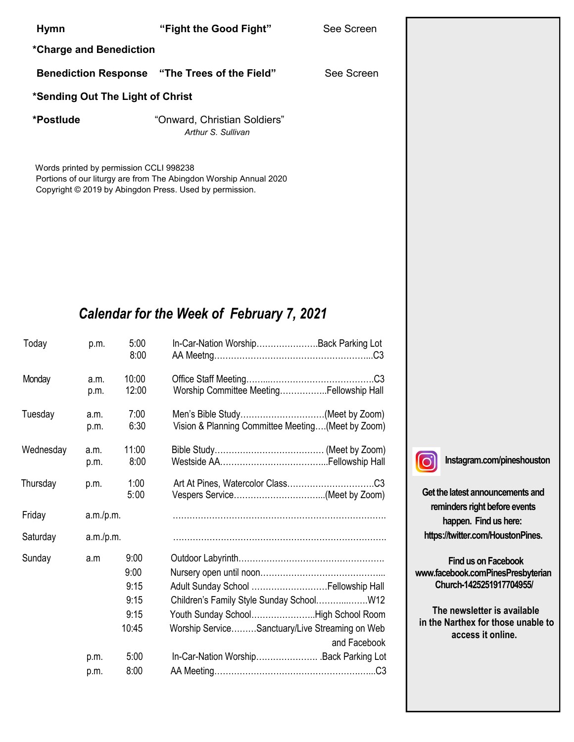#### **Hymn "Fight the Good Fight"** See Screen

**\*Charge and Benediction**

**Benediction Response "The Trees of the Field"** See Screen

#### **\*Sending Out The Light of Christ**

**\*Postlude** "Onward, Christian Soldiers" *Arthur S. Sullivan*

Words printed by permission CCLI 998238 Portions of our liturgy are from The Abingdon Worship Annual 2020 Copyright © 2019 by Abingdon Press. Used by permission.

# *Calendar for the Week of February 7, 2021*

| Today     | p.m.         | 5:00<br>8:00   | In-Car-Nation WorshipBack Parking Lot                                                |
|-----------|--------------|----------------|--------------------------------------------------------------------------------------|
| Monday    | a.m.<br>p.m. | 10:00<br>12:00 | Worship Committee MeetingFellowship Hall                                             |
| Tuesday   | a.m.<br>p.m. | 7:00<br>6:30   | Men's Bible Study(Meet by Zoom)<br>Vision & Planning Committee Meeting(Meet by Zoom) |
| Wednesday | a.m.<br>p.m. | 11:00<br>8:00  |                                                                                      |
| Thursday  | p.m.         | 1:00<br>5:00   |                                                                                      |
| Friday    | a.m./p.m.    |                |                                                                                      |
| Saturday  | a.m./p.m.    |                |                                                                                      |
| Sunday    | a.m          | 9:00<br>9:00   |                                                                                      |
|           |              | 9:15           | Adult Sunday School  Fellowship Hall                                                 |
|           |              | 9:15           |                                                                                      |
|           |              | 9:15           | Youth Sunday SchoolHigh School Room                                                  |
|           |              | 10:45          | Worship ServiceSanctuary/Live Streaming on Web<br>and Facebook                       |
|           | p.m.         | 5:00           | In-Car-Nation Worship . Back Parking Lot                                             |
|           | p.m.         | 8:00           |                                                                                      |

llo i

**Instagram.com/pineshouston**

**Get the latest announcements and reminders right before events happen. Find us here: https://twitter.com/HoustonPines.** 

 **Find us on Facebook www.facebook.comPinesPresbyterian Church-1425251917704955/**

 **The newsletter is available in the Narthex for those unable to access it online.**